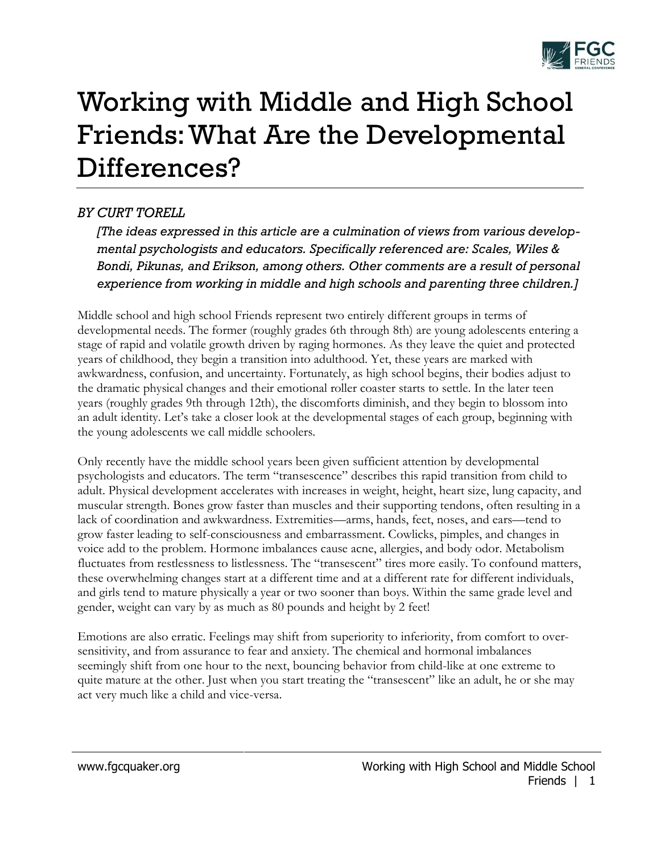

## Working with Middle and High School Friends: What Are the Developmental Differences?

## *BY CURT TORELL*

*[The ideas expressed in this article are a culmination of views from various developmental psychologists and educators. Specifically referenced are: Scales, Wiles & Bondi, Pikunas, and Erikson, among others. Other comments are a result of personal experience from working in middle and high schools and parenting three children.]*

Middle school and high school Friends represent two entirely different groups in terms of developmental needs. The former (roughly grades 6th through 8th) are young adolescents entering a stage of rapid and volatile growth driven by raging hormones. As they leave the quiet and protected years of childhood, they begin a transition into adulthood. Yet, these years are marked with awkwardness, confusion, and uncertainty. Fortunately, as high school begins, their bodies adjust to the dramatic physical changes and their emotional roller coaster starts to settle. In the later teen years (roughly grades 9th through 12th), the discomforts diminish, and they begin to blossom into an adult identity. Let's take a closer look at the developmental stages of each group, beginning with the young adolescents we call middle schoolers.

Only recently have the middle school years been given sufficient attention by developmental psychologists and educators. The term "transescence" describes this rapid transition from child to adult. Physical development accelerates with increases in weight, height, heart size, lung capacity, and muscular strength. Bones grow faster than muscles and their supporting tendons, often resulting in a lack of coordination and awkwardness. Extremities—arms, hands, feet, noses, and ears—tend to grow faster leading to self-consciousness and embarrassment. Cowlicks, pimples, and changes in voice add to the problem. Hormone imbalances cause acne, allergies, and body odor. Metabolism fluctuates from restlessness to listlessness. The "transescent" tires more easily. To confound matters, these overwhelming changes start at a different time and at a different rate for different individuals, and girls tend to mature physically a year or two sooner than boys. Within the same grade level and gender, weight can vary by as much as 80 pounds and height by 2 feet!

Emotions are also erratic. Feelings may shift from superiority to inferiority, from comfort to oversensitivity, and from assurance to fear and anxiety. The chemical and hormonal imbalances seemingly shift from one hour to the next, bouncing behavior from child-like at one extreme to quite mature at the other. Just when you start treating the "transescent" like an adult, he or she may act very much like a child and vice-versa.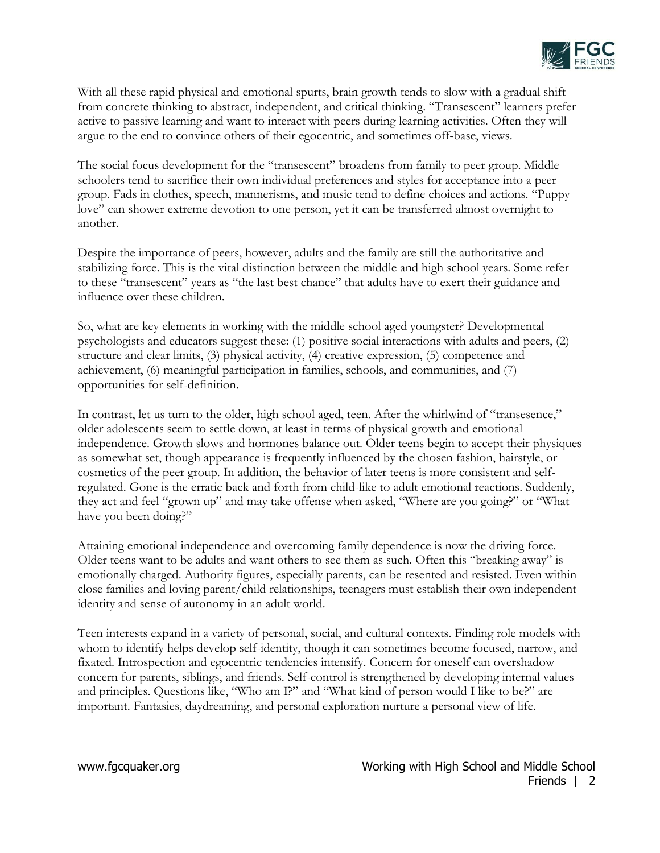

With all these rapid physical and emotional spurts, brain growth tends to slow with a gradual shift from concrete thinking to abstract, independent, and critical thinking. "Transescent" learners prefer active to passive learning and want to interact with peers during learning activities. Often they will argue to the end to convince others of their egocentric, and sometimes off-base, views.

The social focus development for the "transescent" broadens from family to peer group. Middle schoolers tend to sacrifice their own individual preferences and styles for acceptance into a peer group. Fads in clothes, speech, mannerisms, and music tend to define choices and actions. "Puppy love" can shower extreme devotion to one person, yet it can be transferred almost overnight to another.

Despite the importance of peers, however, adults and the family are still the authoritative and stabilizing force. This is the vital distinction between the middle and high school years. Some refer to these "transescent" years as "the last best chance" that adults have to exert their guidance and influence over these children.

So, what are key elements in working with the middle school aged youngster? Developmental psychologists and educators suggest these: (1) positive social interactions with adults and peers, (2) structure and clear limits, (3) physical activity, (4) creative expression, (5) competence and achievement, (6) meaningful participation in families, schools, and communities, and (7) opportunities for self-definition.

In contrast, let us turn to the older, high school aged, teen. After the whirlwind of "transesence," older adolescents seem to settle down, at least in terms of physical growth and emotional independence. Growth slows and hormones balance out. Older teens begin to accept their physiques as somewhat set, though appearance is frequently influenced by the chosen fashion, hairstyle, or cosmetics of the peer group. In addition, the behavior of later teens is more consistent and selfregulated. Gone is the erratic back and forth from child-like to adult emotional reactions. Suddenly, they act and feel "grown up" and may take offense when asked, "Where are you going?" or "What have you been doing?"

Attaining emotional independence and overcoming family dependence is now the driving force. Older teens want to be adults and want others to see them as such. Often this "breaking away" is emotionally charged. Authority figures, especially parents, can be resented and resisted. Even within close families and loving parent/child relationships, teenagers must establish their own independent identity and sense of autonomy in an adult world.

Teen interests expand in a variety of personal, social, and cultural contexts. Finding role models with whom to identify helps develop self-identity, though it can sometimes become focused, narrow, and fixated. Introspection and egocentric tendencies intensify. Concern for oneself can overshadow concern for parents, siblings, and friends. Self-control is strengthened by developing internal values and principles. Questions like, "Who am I?" and "What kind of person would I like to be?" are important. Fantasies, daydreaming, and personal exploration nurture a personal view of life.